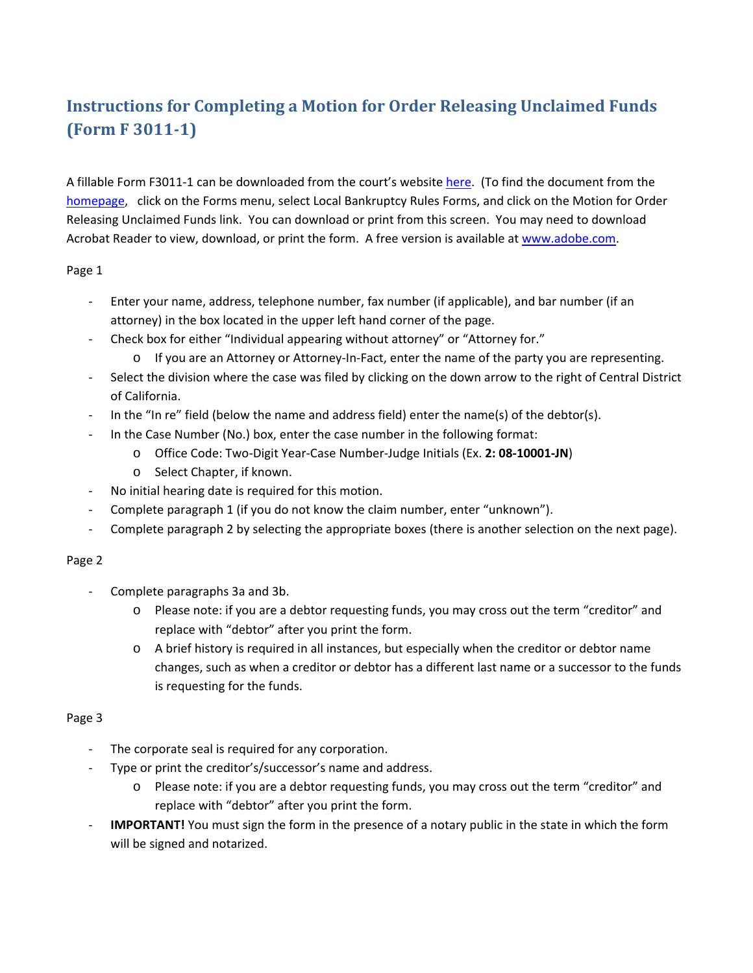# **Instructions for Completing a Motion for Order Releasing Unclaimed Funds (Form F 3011‐1)**

A fillable Form F3011‐1 can be downloaded from the court's website [here.](http://www.cacb.uscourts.gov/forms/motion-order-releasing-unclaimed-funds) (To find the document from the [homepage](www.cacb.uscourts.gov), click on the Forms menu, select Local Bankruptcy Rules Forms, and click on the Motion for Order Releasing Unclaimed Funds link. You can download or print from this screen. You may need to download Acrobat Reader to view, download, or print the form. A free version is available at [www.adobe.com](https://get.adobe.com/reader/).

#### Page 1

- ‐ Enter your name, address, telephone number, fax number (if applicable), and bar number (if an attorney) in the box located in the upper left hand corner of the page.
- ‐ Check box for either "Individual appearing without attorney" or "Attorney for."
	- o If you are an Attorney or Attorney‐In‐Fact, enter the name of the party you are representing.
- Select the division where the case was filed by clicking on the down arrow to the right of Central District of California.
- In the "In re" field (below the name and address field) enter the name(s) of the debtor(s).
- In the Case Number (No.) box, enter the case number in the following format:
	- o Office Code: Two‐Digit Year‐Case Number‐Judge Initials (Ex. **2: 08‐10001‐JN**)
	- o Select Chapter, if known.
- ‐ No initial hearing date is required for this motion.
- ‐ Complete paragraph 1 (if you do not know the claim number, enter "unknown").
- ‐ Complete paragraph 2 by selecting the appropriate boxes (there is another selection on the next page).

#### Page 2

- ‐ Complete paragraphs 3a and 3b.
	- o Please note: if you are a debtor requesting funds, you may cross out the term "creditor" and replace with "debtor" after you print the form.
	- o A brief history is required in all instances, but especially when the creditor or debtor name changes, such as when a creditor or debtor has a different last name or a successor to the funds is requesting for the funds.

#### Page 3

- The corporate seal is required for any corporation.
- Type or print the creditor's/successor's name and address.
	- o Please note: if you are a debtor requesting funds, you may cross out the term "creditor" and replace with "debtor" after you print the form.
- **IMPORTANT!** You must sign the form in the presence of a notary public in the state in which the form will be signed and notarized.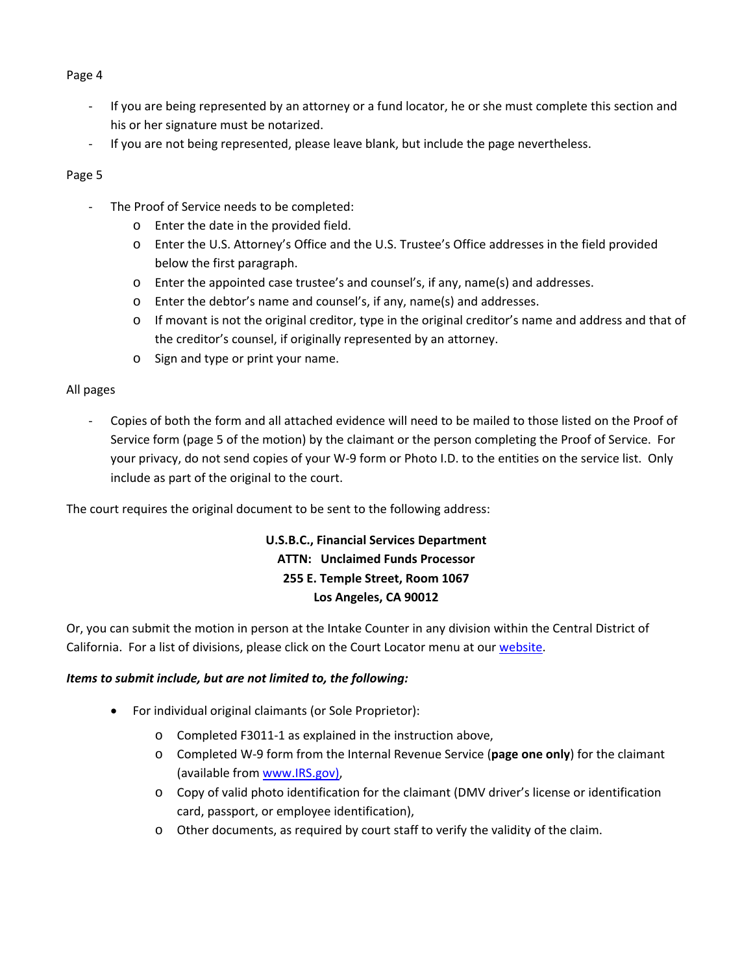#### Page 4

- ‐ If you are being represented by an attorney or a fund locator, he or she must complete this section and his or her signature must be notarized.
- ‐ If you are not being represented, please leave blank, but include the page nevertheless.

#### Page 5

- The Proof of Service needs to be completed:
	- o Enter the date in the provided field.
	- o Enter the U.S. Attorney's Office and the U.S. Trustee's Office addresses in the field provided below the first paragraph.
	- o Enter the appointed case trustee's and counsel's, if any, name(s) and addresses.
	- o Enter the debtor's name and counsel's, if any, name(s) and addresses.
	- o If movant is not the original creditor, type in the original creditor's name and address and that of the creditor's counsel, if originally represented by an attorney.
	- o Sign and type or print your name.

#### All pages

‐ Copies of both the form and all attached evidence will need to be mailed to those listed on the Proof of Service form (page 5 of the motion) by the claimant or the person completing the Proof of Service. For your privacy, do not send copies of your W‐9 form or Photo I.D. to the entities on the service list. Only include as part of the original to the court.

The court requires the original document to be sent to the following address:

### **U.S.B.C., Financial Services Department ATTN: Unclaimed Funds Processor 255 E. Temple Street, Room 1067 Los Angeles, CA 90012**

Or, you can submit the motion in person at the Intake Counter in any division within the Central District of California. For a list of divisions, please click on the Court Locator menu at our [website.](www.cacb.uscourts.gov)

#### *Items to submit include, but are not limited to, the following:*

- For individual original claimants (or Sole Proprietor):
	- o Completed F3011‐1 as explained in the instruction above,
	- o Completed W‐9 form from the Internal Revenue Service (**page one only**) for the claimant (available from [www.IRS.gov\)](www.irs.gov),
	- o Copy of valid photo identification for the claimant (DMV driver's license or identification card, passport, or employee identification),
	- o Other documents, as required by court staff to verify the validity of the claim.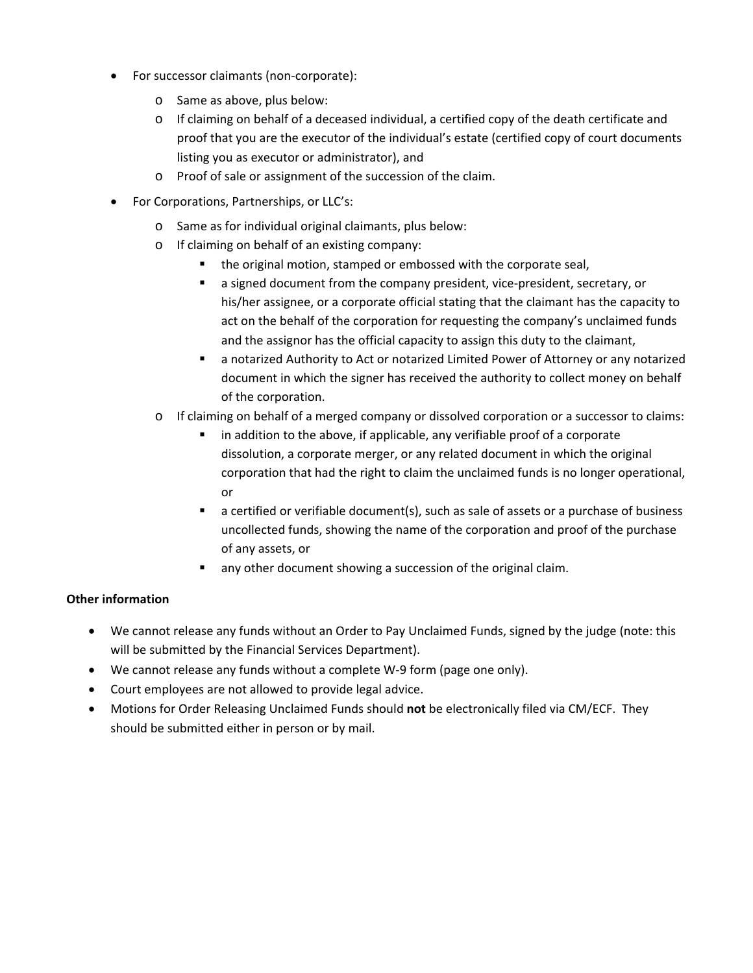- For successor claimants (non‐corporate):
	- o Same as above, plus below:
	- $\circ$  If claiming on behalf of a deceased individual, a certified copy of the death certificate and proof that you are the executor of the individual's estate (certified copy of court documents listing you as executor or administrator), and
	- o Proof of sale or assignment of the succession of the claim.
- For Corporations, Partnerships, or LLC's:
	- o Same as for individual original claimants, plus below:
	- o If claiming on behalf of an existing company:
		- the original motion, stamped or embossed with the corporate seal,
		- a signed document from the company president, vice-president, secretary, or his/her assignee, or a corporate official stating that the claimant has the capacity to act on the behalf of the corporation for requesting the company's unclaimed funds and the assignor has the official capacity to assign this duty to the claimant,
		- a notarized Authority to Act or notarized Limited Power of Attorney or any notarized document in which the signer has received the authority to collect money on behalf of the corporation.
	- o If claiming on behalf of a merged company or dissolved corporation or a successor to claims:
		- in addition to the above, if applicable, any verifiable proof of a corporate dissolution, a corporate merger, or any related document in which the original corporation that had the right to claim the unclaimed funds is no longer operational, or
		- a certified or verifiable document(s), such as sale of assets or a purchase of business uncollected funds, showing the name of the corporation and proof of the purchase of any assets, or
		- any other document showing a succession of the original claim.

#### **Other information**

- We cannot release any funds without an Order to Pay Unclaimed Funds, signed by the judge (note: this will be submitted by the Financial Services Department).
- We cannot release any funds without a complete W-9 form (page one only).
- Court employees are not allowed to provide legal advice.
- Motions for Order Releasing Unclaimed Funds should **not** be electronically filed via CM/ECF. They should be submitted either in person or by mail.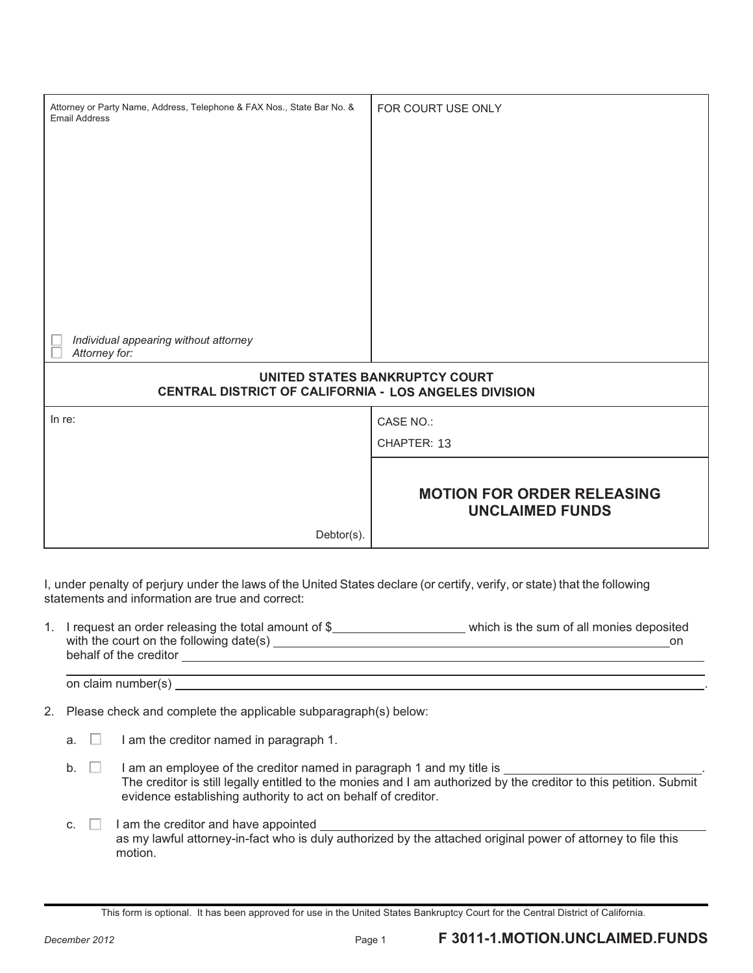| Attorney or Party Name, Address, Telephone & FAX Nos., State Bar No. &<br><b>Email Address</b> | FOR COURT USE ONLY                                          |
|------------------------------------------------------------------------------------------------|-------------------------------------------------------------|
|                                                                                                |                                                             |
|                                                                                                |                                                             |
|                                                                                                |                                                             |
|                                                                                                |                                                             |
|                                                                                                |                                                             |
|                                                                                                |                                                             |
|                                                                                                |                                                             |
|                                                                                                |                                                             |
| Individual appearing without attorney<br>Attorney for:                                         |                                                             |
| UNITED STATES BANKRUPTCY COURT<br>CENTRAL DISTRICT OF CALIFORNIA - LOS ANGELES DIVISION        |                                                             |
| In $re$ :                                                                                      | CASE NO.:                                                   |
|                                                                                                | CHAPTER: 13                                                 |
|                                                                                                |                                                             |
|                                                                                                | <b>MOTION FOR ORDER RELEASING</b><br><b>UNCLAIMED FUNDS</b> |
| Debtor(s).                                                                                     |                                                             |

I, under penalty of perjury under the laws of the United States declare (or certify, verify, or state) that the following statements and information are true and correct:

1. I request an order releasing the total amount of \$\_\_\_\_\_\_\_\_\_\_\_\_\_\_\_\_\_\_\_\_\_\_\_\_which is the sum of all monies deposited with the court on the following date(s) on behalf of the creditor

on claim number(s) .

2. Please check and complete the applicable subparagraph(s) below:

- a.  $\Box$  I am the creditor named in paragraph 1.
- b.  $\Box$  I am an employee of the creditor named in paragraph 1 and my title is  $\Box$ The creditor is still legally entitled to the monies and I am authorized by the creditor to this petition. Submit evidence establishing authority to act on behalf of creditor.
- c.  $\Box$  I am the creditor and have appointed  $\Box$ as my lawful attorney-in-fact who is duly authorized by the attached original power of attorney to file this motion.

This form is optional. It has been approved for use in the United States Bankruptcy Court for the Central District of California.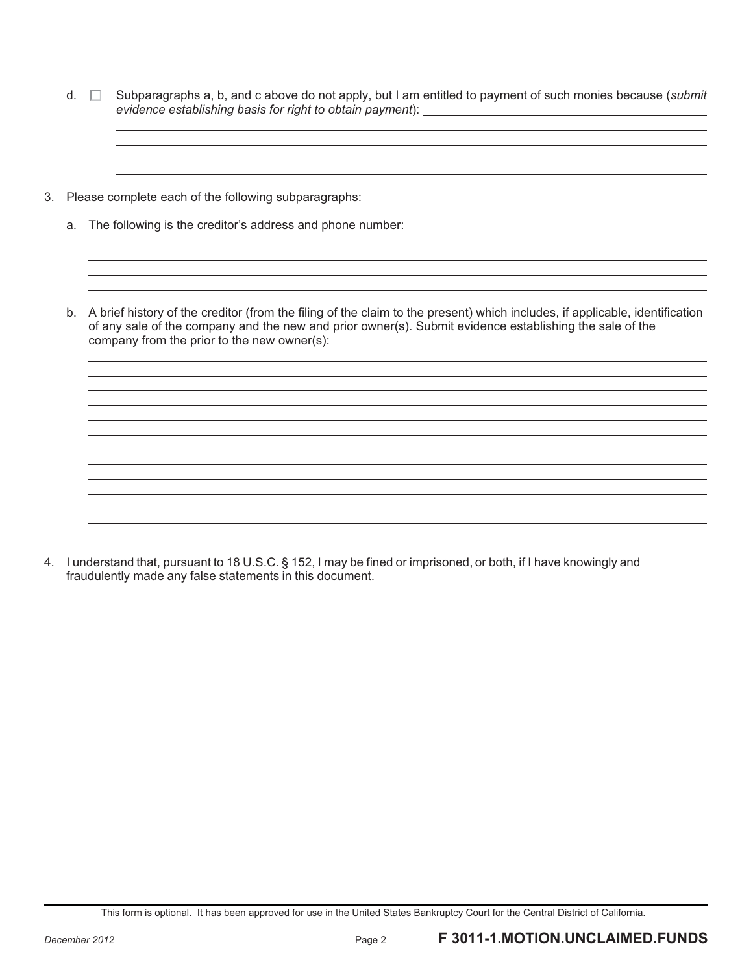- d. Subparagraphs a, b, and c above do not apply, but I am entitled to payment of such monies because (*submit evidence establishing basis for right to obtain payment*):
- 3. Please complete each of the following subparagraphs:
	- a. The following is the creditor's address and phone number:
	- b. A brief history of the creditor (from the filing of the claim to the present) which includes, if applicable, identification of any sale of the company and the new and prior owner(s). Submit evidence establishing the sale of the company from the prior to the new owner(s):

4. I understand that, pursuant to 18 U.S.C. § 152, I may be fined or imprisoned, or both, if I have knowingly and fraudulently made any false statements in this document.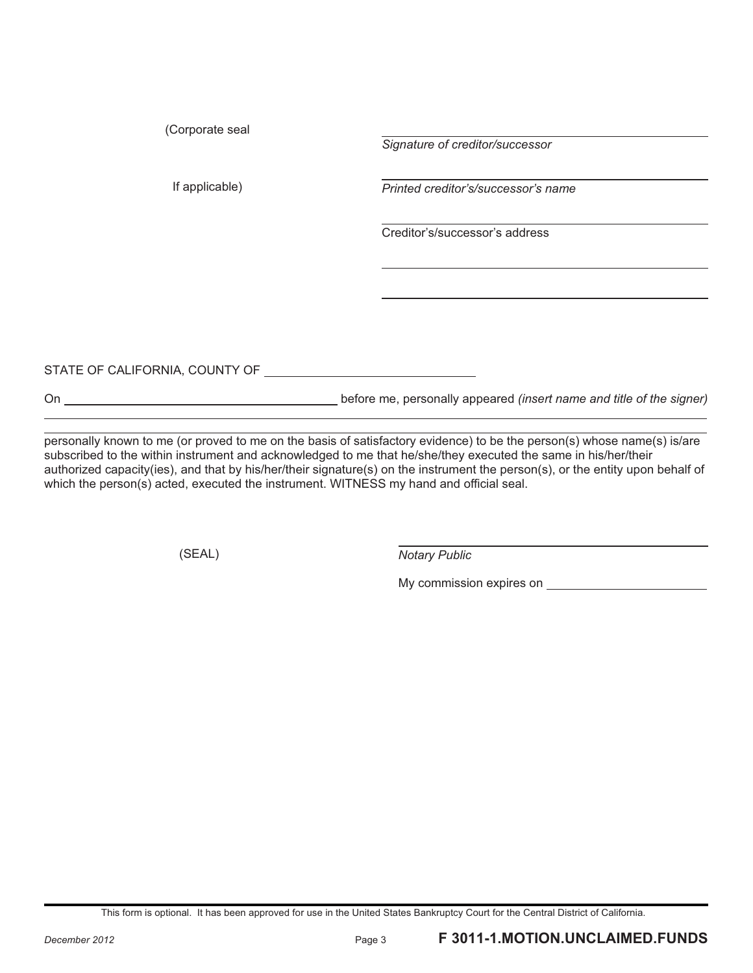(Corporate seal

*Signature of creditor/successor* 

If applicable) *Printed creditor's/successor's name* 

Creditor's/successor's address

STATE OF CALIFORNIA, COUNTY OF

On before me, personally appeared *(insert name and title of the signer)* 

personally known to me (or proved to me on the basis of satisfactory evidence) to be the person(s) whose name(s) is/are subscribed to the within instrument and acknowledged to me that he/she/they executed the same in his/her/their authorized capacity(ies), and that by his/her/their signature(s) on the instrument the person(s), or the entity upon behalf of which the person(s) acted, executed the instrument. WITNESS my hand and official seal.

(SEAL) *Notary Public* 

My commission expires on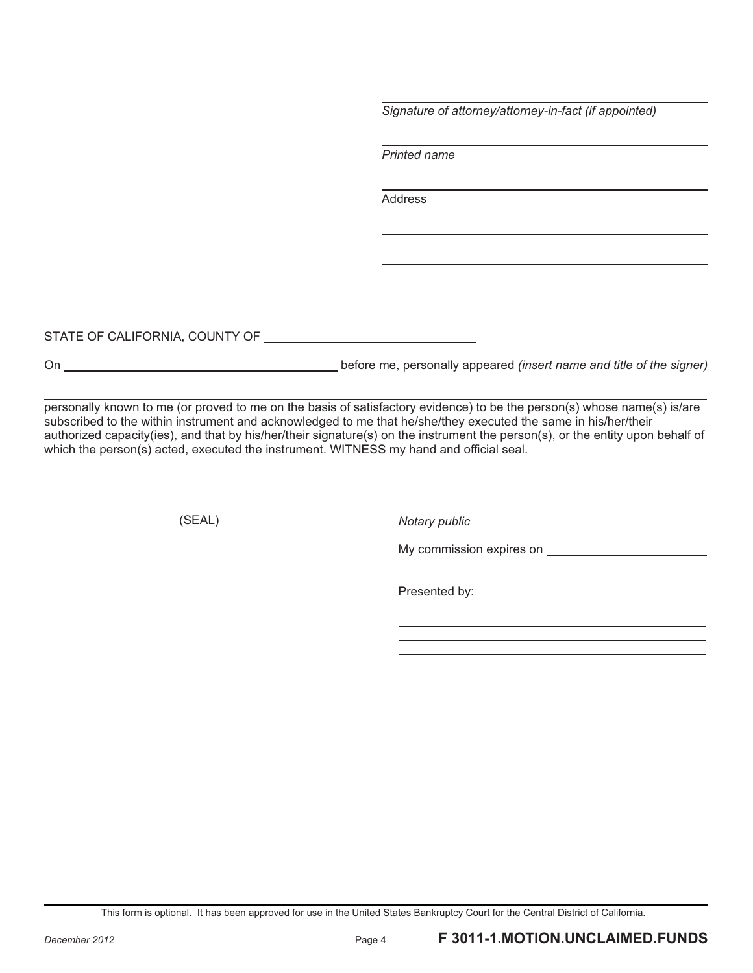*Signature of attorney/attorney-in-fact (if appointed)* 

*Printed name* 

Address

STATE OF CALIFORNIA, COUNTY OF

On **before me**, personally appeared *(insert name and title of the signer)*  $\blacksquare$ 

personally known to me (or proved to me on the basis of satisfactory evidence) to be the person(s) whose name(s) is/are subscribed to the within instrument and acknowledged to me that he/she/they executed the same in his/her/their authorized capacity(ies), and that by his/her/their signature(s) on the instrument the person(s), or the entity upon behalf of which the person(s) acted, executed the instrument. WITNESS my hand and official seal.

(SEAL) *Notary public* 

My commission expires on **My commission** expires on

Presented by: